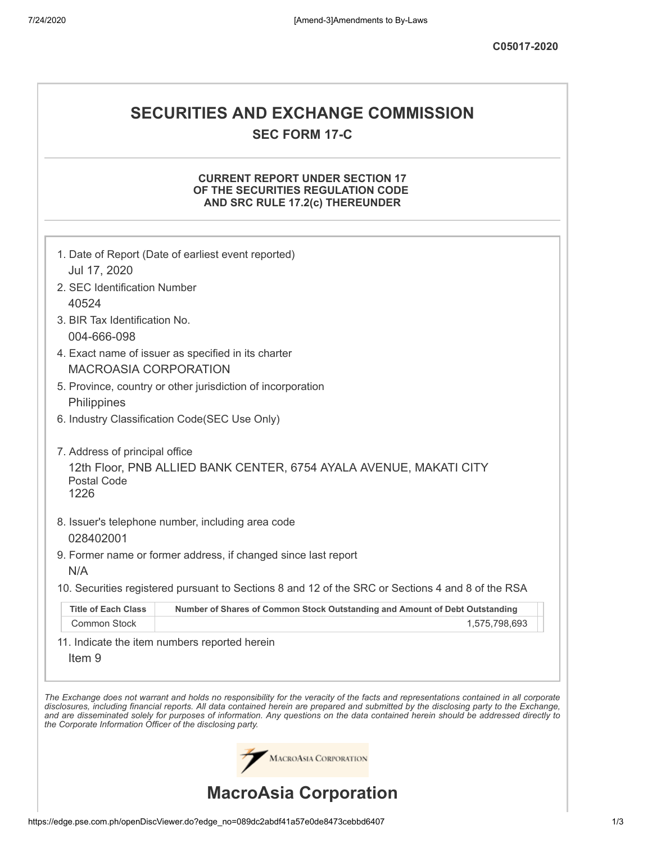# **SECURITIES AND EXCHANGE COMMISSION SEC FORM 17-C**

## **CURRENT REPORT UNDER SECTION 17 OF THE SECURITIES REGULATION CODE AND SRC RULE 17.2(c) THEREUNDER**

|                                                            | 1. Date of Report (Date of earliest event reported)                                                                                                                                                                                                                                                                                                                                                                      |
|------------------------------------------------------------|--------------------------------------------------------------------------------------------------------------------------------------------------------------------------------------------------------------------------------------------------------------------------------------------------------------------------------------------------------------------------------------------------------------------------|
| Jul 17, 2020                                               |                                                                                                                                                                                                                                                                                                                                                                                                                          |
| 2. SEC Identification Number                               |                                                                                                                                                                                                                                                                                                                                                                                                                          |
| 40524<br>3. BIR Tax Identification No.                     |                                                                                                                                                                                                                                                                                                                                                                                                                          |
| 004-666-098                                                |                                                                                                                                                                                                                                                                                                                                                                                                                          |
|                                                            | 4. Exact name of issuer as specified in its charter                                                                                                                                                                                                                                                                                                                                                                      |
| <b>MACROASIA CORPORATION</b>                               |                                                                                                                                                                                                                                                                                                                                                                                                                          |
|                                                            | 5. Province, country or other jurisdiction of incorporation                                                                                                                                                                                                                                                                                                                                                              |
| Philippines                                                |                                                                                                                                                                                                                                                                                                                                                                                                                          |
|                                                            | 6. Industry Classification Code(SEC Use Only)                                                                                                                                                                                                                                                                                                                                                                            |
| 7. Address of principal office<br>Postal Code<br>1226      | 12th Floor, PNB ALLIED BANK CENTER, 6754 AYALA AVENUE, MAKATI CITY                                                                                                                                                                                                                                                                                                                                                       |
|                                                            | 8. Issuer's telephone number, including area code                                                                                                                                                                                                                                                                                                                                                                        |
| 028402001                                                  |                                                                                                                                                                                                                                                                                                                                                                                                                          |
|                                                            | 9. Former name or former address, if changed since last report                                                                                                                                                                                                                                                                                                                                                           |
| N/A                                                        |                                                                                                                                                                                                                                                                                                                                                                                                                          |
|                                                            | 10. Securities registered pursuant to Sections 8 and 12 of the SRC or Sections 4 and 8 of the RSA                                                                                                                                                                                                                                                                                                                        |
| <b>Title of Each Class</b>                                 | Number of Shares of Common Stock Outstanding and Amount of Debt Outstanding                                                                                                                                                                                                                                                                                                                                              |
| Common Stock                                               | 1,575,798,693                                                                                                                                                                                                                                                                                                                                                                                                            |
| Item <sub>9</sub>                                          | 11. Indicate the item numbers reported herein                                                                                                                                                                                                                                                                                                                                                                            |
| the Corporate Information Officer of the disclosing party. | The Exchange does not warrant and holds no responsibility for the veracity of the facts and representations contained in all corporate<br>disclosures, including financial reports. All data contained herein are prepared and submitted by the disclosing party to the Exchange,<br>and are disseminated solely for purposes of information. Any questions on the data contained herein should be addressed directly to |
|                                                            | <b>MACROASIA CORPORATION</b>                                                                                                                                                                                                                                                                                                                                                                                             |
|                                                            | <b>MacroAsia Corporation</b>                                                                                                                                                                                                                                                                                                                                                                                             |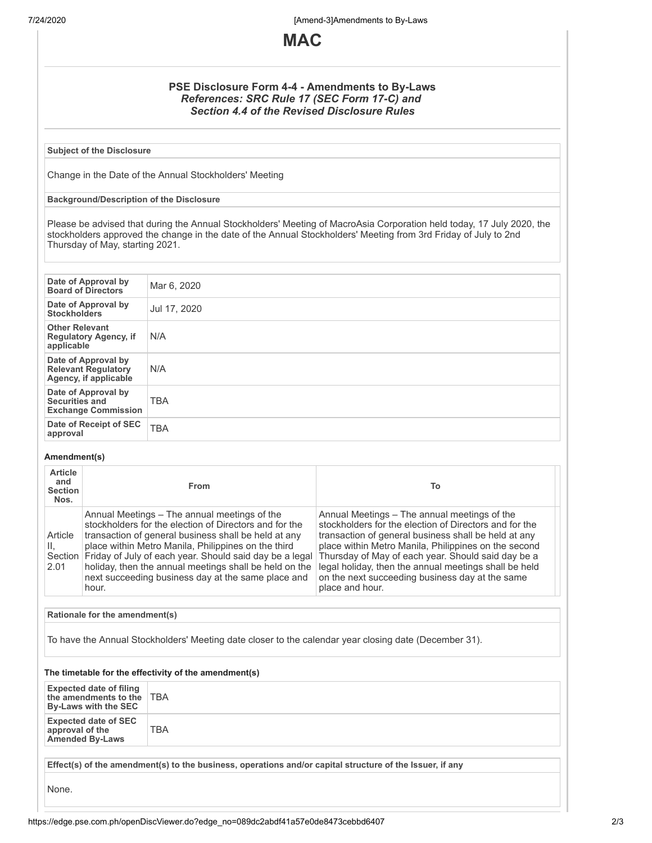7/24/2020 [Amend-3]Amendments to By-Laws



### **PSE Disclosure Form 4-4 - Amendments to By-Laws** *References: SRC Rule 17 (SEC Form 17-C) and Section 4.4 of the Revised Disclosure Rules*

**Subject of the Disclosure**

Change in the Date of the Annual Stockholders' Meeting

#### **Background/Description of the Disclosure**

Please be advised that during the Annual Stockholders' Meeting of MacroAsia Corporation held today, 17 July 2020, the stockholders approved the change in the date of the Annual Stockholders' Meeting from 3rd Friday of July to 2nd Thursday of May, starting 2021.

| Date of Approval by<br><b>Board of Directors</b>                           | Mar 6, 2020  |
|----------------------------------------------------------------------------|--------------|
| Date of Approval by<br><b>Stockholders</b>                                 | Jul 17, 2020 |
| <b>Other Relevant</b><br><b>Regulatory Agency, if</b><br>applicable        | N/A          |
| Date of Approval by<br><b>Relevant Regulatory</b><br>Agency, if applicable | N/A          |
| Date of Approval by<br><b>Securities and</b><br><b>Exchange Commission</b> | <b>TBA</b>   |
| Date of Receipt of SEC<br>approval                                         | <b>TBA</b>   |

#### **Amendment(s)**

| <b>Article</b><br>and<br><b>Section</b><br>Nos. | <b>From</b>                                                                                                                                                                                                                                                                                                                                                                                                         | То                                                                                                                                                                                                                                                                                                                                                                                                          |
|-------------------------------------------------|---------------------------------------------------------------------------------------------------------------------------------------------------------------------------------------------------------------------------------------------------------------------------------------------------------------------------------------------------------------------------------------------------------------------|-------------------------------------------------------------------------------------------------------------------------------------------------------------------------------------------------------------------------------------------------------------------------------------------------------------------------------------------------------------------------------------------------------------|
| Article<br>Ш.<br>2.01                           | Annual Meetings - The annual meetings of the<br>stockholders for the election of Directors and for the<br>transaction of general business shall be held at any<br>place within Metro Manila, Philippines on the third<br>Section   Friday of July of each year. Should said day be a legal<br>holiday, then the annual meetings shall be held on the<br>next succeeding business day at the same place and<br>hour. | Annual Meetings – The annual meetings of the<br>stockholders for the election of Directors and for the<br>transaction of general business shall be held at any<br>place within Metro Manila, Philippines on the second<br>Thursday of May of each year. Should said day be a<br>legal holiday, then the annual meetings shall be held<br>on the next succeeding business day at the same<br>place and hour. |

**Rationale for the amendment(s)**

To have the Annual Stockholders' Meeting date closer to the calendar year closing date (December 31).

#### **The timetable for the effectivity of the amendment(s)**

| <b>Expected date of filing</b><br>the amendments to the TBA<br>By-Laws with the SEC |                                                                                                          |
|-------------------------------------------------------------------------------------|----------------------------------------------------------------------------------------------------------|
| <b>Expected date of SEC</b><br>approval of the<br><b>Amended By-Laws</b>            | TBA                                                                                                      |
|                                                                                     | Effect(s) of the amendment(s) to the business, operations and/or capital structure of the Issuer, if any |

None.